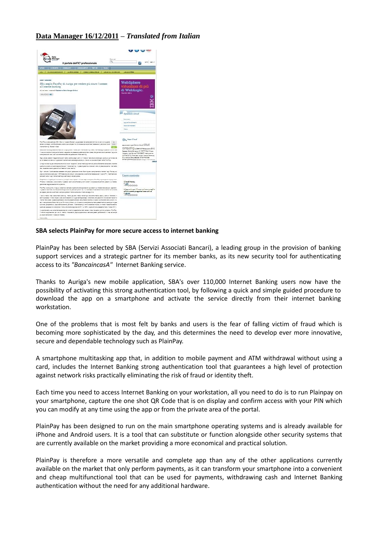## **Data Manager 16/12/2011 –** *Translated from Italian*



## **SBA selects PlainPay for more secure access to internet banking**

PlainPay has been selected by SBA (Servizi Associati Bancari), a leading group in the provision of banking support services and a strategic partner for its member banks, as its new security tool for authenticating access to its *"BancaincasA"* Internet Banking service.

Thanks to Auriga's new mobile application, SBA's over 110,000 Internet Banking users now have the possibility of activating this strong authentication tool, by following a quick and simple guided procedure to download the app on a smartphone and activate the service directly from their internet banking workstation.

One of the problems that is most felt by banks and users is the fear of falling victim of fraud which is becoming more sophisticated by the day, and this determines the need to develop ever more innovative, secure and dependable technology such as PlainPay.

A smartphone multitasking app that, in addition to mobile payment and ATM withdrawal without using a card, includes the Internet Banking strong authentication tool that guarantees a high level of protection against network risks practically eliminating the risk of fraud or identity theft.

Each time you need to access Internet Banking on your workstation, all you need to do is to run Plainpay on your smartphone, capture the one shot QR Code that is on display and confirm access with your PIN which you can modify at any time using the app or from the private area of the portal.

PlainPay has been designed to run on the main smartphone operating systems and is already available for iPhone and Android users. It is a tool that can substitute or function alongside other security systems that are currently available on the market providing a more economical and practical solution.

PlainPay is therefore a more versatile and complete app than any of the other applications currently available on the market that only perform payments, as it can transform your smartphone into a convenient and cheap multifunctional tool that can be used for payments, withdrawing cash and Internet Banking authentication without the need for any additional hardware.